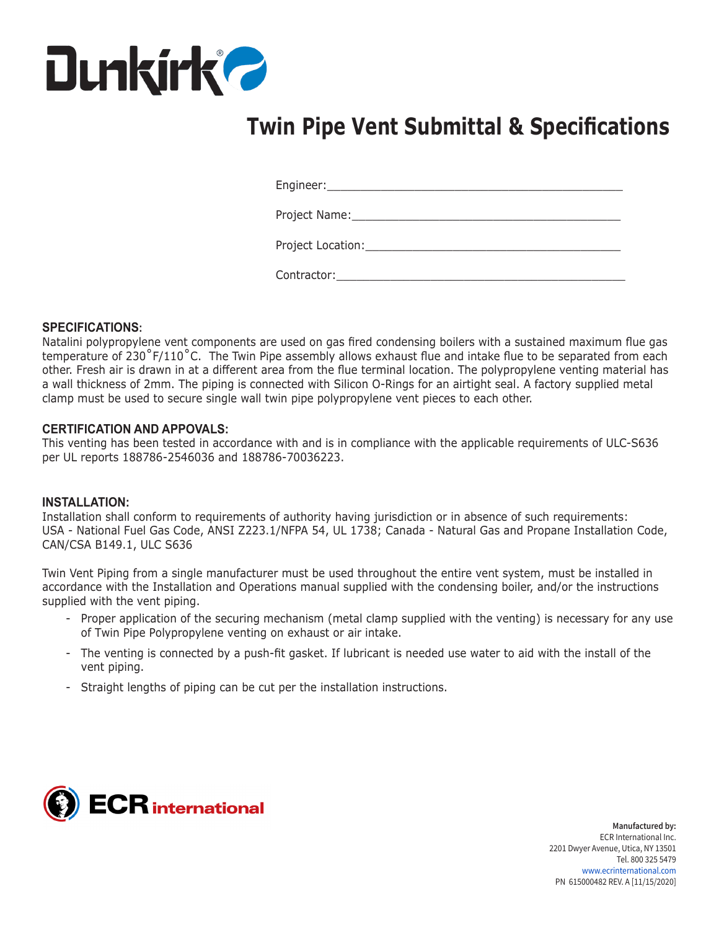

# **Twin Pipe Vent Submittal & Specifications**

Engineer:\_\_\_\_\_\_\_\_\_\_\_\_\_\_\_\_\_\_\_\_\_\_\_\_\_\_\_\_\_\_\_\_\_\_\_\_\_\_\_\_\_\_\_\_

Project Name:

| Project Location: |  |
|-------------------|--|
|                   |  |

Contractor:

### **SPECIFICATIONS:**

Natalini polypropylene vent components are used on gas fired condensing boilers with a sustained maximum flue gas temperature of 230˚F/110˚C. The Twin Pipe assembly allows exhaust flue and intake flue to be separated from each other. Fresh air is drawn in at a different area from the flue terminal location. The polypropylene venting material has a wall thickness of 2mm. The piping is connected with Silicon O-Rings for an airtight seal. A factory supplied metal clamp must be used to secure single wall twin pipe polypropylene vent pieces to each other.

### **CERTIFICATION AND APPOVALS:**

This venting has been tested in accordance with and is in compliance with the applicable requirements of ULC-S636 per UL reports 188786-2546036 and 188786-70036223.

#### **INSTALLATION:**

Installation shall conform to requirements of authority having jurisdiction or in absence of such requirements: USA - National Fuel Gas Code, ANSI Z223.1/NFPA 54, UL 1738; Canada - Natural Gas and Propane Installation Code, CAN/CSA B149.1, ULC S636

Twin Vent Piping from a single manufacturer must be used throughout the entire vent system, must be installed in accordance with the Installation and Operations manual supplied with the condensing boiler, and/or the instructions supplied with the vent piping.

- Proper application of the securing mechanism (metal clamp supplied with the venting) is necessary for any use of Twin Pipe Polypropylene venting on exhaust or air intake.
- The venting is connected by a push-fit gasket. If lubricant is needed use water to aid with the install of the vent piping.
- Straight lengths of piping can be cut per the installation instructions.